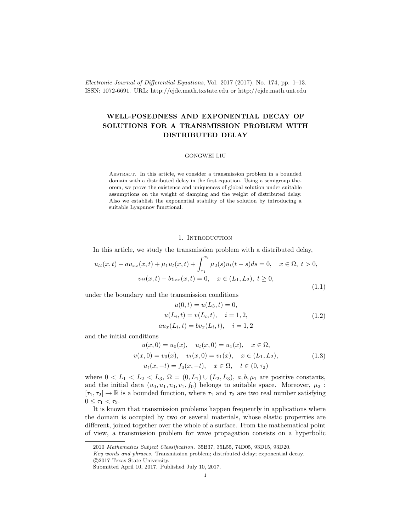Electronic Journal of Differential Equations, Vol. 2017 (2017), No. 174, pp. 1–13. ISSN: 1072-6691. URL: http://ejde.math.txstate.edu or http://ejde.math.unt.edu

# WELL-POSEDNESS AND EXPONENTIAL DECAY OF SOLUTIONS FOR A TRANSMISSION PROBLEM WITH DISTRIBUTED DELAY

#### GONGWEI LIU

Abstract. In this article, we consider a transmission problem in a bounded domain with a distributed delay in the first equation. Using a semigroup theorem, we prove the existence and uniqueness of global solution under suitable assumptions on the weight of damping and the weight of distributed delay. Also we establish the exponential stability of the solution by introducing a suitable Lyapunov functional.

### 1. INTRODUCTION

In this article, we study the transmission problem with a distributed delay,

<span id="page-0-0"></span>
$$
u_{tt}(x,t) - au_{xx}(x,t) + \mu_1 u_t(x,t) + \int_{\tau_1}^{\tau_2} \mu_2(s)u_t(t-s)ds = 0, \quad x \in \Omega, \ t > 0,
$$
  

$$
v_{tt}(x,t) - bv_{xx}(x,t) = 0, \quad x \in (L_1, L_2), \ t \ge 0,
$$
 (1.1)

under the boundary and the transmission conditions

<span id="page-0-2"></span>
$$
u(0, t) = u(L_3, t) = 0,
$$
  
\n
$$
u(L_i, t) = v(L_i, t), \quad i = 1, 2,
$$
  
\n
$$
au_x(L_i, t) = bv_x(L_i, t), \quad i = 1, 2
$$
\n(1.2)

and the initial conditions

<span id="page-0-1"></span>
$$
u(x, 0) = u_0(x), \quad u_t(x, 0) = u_1(x), \quad x \in \Omega,
$$
  

$$
v(x, 0) = v_0(x), \quad v_t(x, 0) = v_1(x), \quad x \in (L_1, L_2),
$$
  

$$
u_t(x, -t) = f_0(x, -t), \quad x \in \Omega, \quad t \in (0, \tau_2)
$$
 (1.3)

where  $0 < L_1 < L_2 < L_3$ ,  $\Omega = (0, L_1) \cup (L_2, L_3)$ ,  $a, b, \mu_1$  are positive constants, and the initial data  $(u_0, u_1, v_0, v_1, f_0)$  belongs to suitable space. Moreover,  $\mu_2$ :  $[\tau_1, \tau_2] \to \mathbb{R}$  is a bounded function, where  $\tau_1$  and  $\tau_2$  are two real number satisfying  $0 \leq \tau_1 < \tau_2$ .

It is known that transmission problems happen frequently in applications where the domain is occupied by two or several materials, whose elastic properties are different, joined together over the whole of a surface. From the mathematical point of view, a transmission problem for wave propagation consists on a hyperbolic

<sup>2010</sup> Mathematics Subject Classification. 35B37, 35L55, 74D05, 93D15, 93D20.

Key words and phrases. Transmission problem; distributed delay; exponential decay. c 2017 Texas State University.

Submitted April 10, 2017. Published July 10, 2017.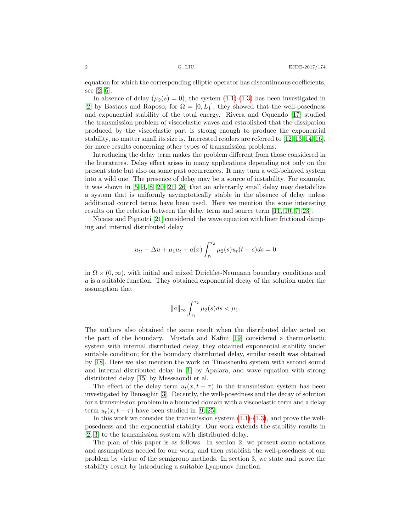equation for which the corresponding elliptic operator has discontinuous coefficients, see [\[2,](#page-11-0) [6\]](#page-11-1).

In absence of delay  $(\mu_2(s) = 0)$ , the system  $(1.1)-(1.3)$  $(1.1)-(1.3)$  $(1.1)-(1.3)$  has been investigated in [\[2\]](#page-11-0) by Bastaos and Raposo; for  $\Omega = [0, L_1]$ , they showed that the well-posedness and exponential stability of the total energy. Rivera and Oquendo [\[17\]](#page-12-0) studied the transmission problem of viscoelastic waves and established that the dissipation produced by the viscoelastic part is strong enough to produce the exponential stability, no matter small its size is. Interested readers are referred to [\[12,](#page-11-2) [13,](#page-11-3) [14,](#page-11-4) [16\]](#page-12-1), for more results concerning other types of transmission problems.

Introducing the delay term makes the problem different from those considered in the literatures. Delay effect arises in many applications depending not only on the present state but also on some past occurrences. It may turn a well-behaved system into a wild one. The presence of delay may be a source of instability. For example, it was shown in [\[5,](#page-11-5) [4,](#page-11-6) [8,](#page-11-7) [20,](#page-12-2) [21,](#page-12-3) [26\]](#page-12-4) that an arbitrarily small delay may destabilize a system that is uniformly asymptotically stable in the absence of delay unless additional control terms have been used. Here we mention the some interesting results on the relation between the delay term and source term [\[11,](#page-11-8) [10,](#page-11-9) [7,](#page-11-10) [23\]](#page-12-5).

Nicaise and Pignotti [\[21\]](#page-12-3) considered the wave equation with liner frictional damping and internal distributed delay

$$
u_{tt} - \Delta u + \mu_1 u_t + a(x) \int_{\tau_1}^{\tau_2} \mu_2(s) u_t(t - s) ds = 0
$$

in  $\Omega \times (0,\infty)$ , with initial and mixed Dirichlet-Neumann boundary conditions and a is a suitable function. They obtained exponential decay of the solution under the assumption that

$$
||a||_{\infty} \int_{\tau_1}^{\tau_2} \mu_2(s) ds < \mu_1.
$$

The authors also obtained the same result when the distributed delay acted on the part of the boundary. Mustafa and Kafini [\[19\]](#page-12-6) considered a thermoelastic system with internal distributed delay, they obtained exponential stability under suitable condition; for the boundary distributed delay, similar result was obtained by [\[18\]](#page-12-7). Here we also mention the work on Timoshenko system with second sound and internal distributed delay in [\[1\]](#page-11-11) by Apalara, and wave equation with strong distributed delay [\[15\]](#page-11-12) by Messsaoudi et al.

The effect of the delay term  $u_t(x, t - \tau)$  in the transmission system has been investigated by Benseghir [\[3\]](#page-11-13). Recently, the well-posedness and the decay of solution for a transmission problem in a bounded domain with a viscoelastic term and a delay term  $u_t(x, t - \tau)$  have been studied in [\[9,](#page-11-14) [25\]](#page-12-8).

In this work we consider the transmission system  $(1.1)-(1.3)$  $(1.1)-(1.3)$  $(1.1)-(1.3)$ , and prove the wellposedness and the exponential stability. Our work extends the stability results in [\[2,](#page-11-0) [3\]](#page-11-13) to the transmission system with distributed delay.

The plan of this paper is as follows. In section 2, we present some notations and assumptions needed for our work, and then establish the well-posedness of our problem by virtue of the semigroup methods. In section 3, we state and prove the stability result by introducing a suitable Lyapunov function.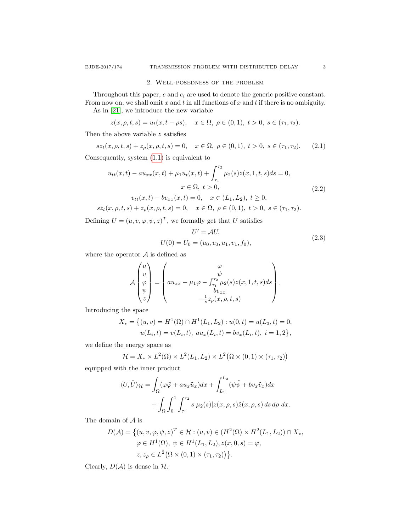## 2. Well-posedness of the problem

Throughout this paper,  $c$  and  $c_i$  are used to denote the generic positive constant. From now on, we shall omit  $x$  and  $t$  in all functions of  $x$  and  $t$  if there is no ambiguity.

As in [\[21\]](#page-12-3), we introduce the new variable

$$
z(x, \rho, t, s) = u_t(x, t - \rho s), \quad x \in \Omega, \ \rho \in (0, 1), \ t > 0, \ s \in (\tau_1, \tau_2).
$$

Then the above variable z satisfies

$$
sz_t(x, \rho, t, s) + z_\rho(x, \rho, t, s) = 0, \quad x \in \Omega, \ \rho \in (0, 1), \ t > 0, \ s \in (\tau_1, \tau_2). \tag{2.1}
$$

Consequently, system [\(1.1\)](#page-0-0) is equivalent to

<span id="page-2-0"></span>
$$
u_{tt}(x,t) - au_{xx}(x,t) + \mu_1 u_t(x,t) + \int_{\tau_1}^{\tau_2} \mu_2(s)z(x,1,t,s)ds = 0,
$$
  
\n
$$
x \in \Omega, t > 0,
$$
  
\n
$$
v_{tt}(x,t) - bv_{xx}(x,t) = 0, \quad x \in (L_1, L_2), t \ge 0,
$$
  
\n
$$
(x, t, t) + x(x, t, t) = 0, \quad x \in (0, 1), t > 0, t \le 0, t \le 0
$$

 $s z_t(x, \rho, t, s) + z_\rho(x, \rho, t, s) = 0, \quad x \in \Omega, \ \rho \in (0, 1), \ t > 0, \ s \in (\tau_1, \tau_2).$ 

Defining  $U = (u, v, \varphi, \psi, z)^T$ , we formally get that U satisfies

<span id="page-2-1"></span>
$$
U' = AU,
$$
  
 
$$
U(0) = U_0 = (u_0, v_0, u_1, v_1, f_0),
$$
 (2.3)

where the operator  ${\mathcal A}$  is defined as

$$
\mathcal{A}\begin{pmatrix} u \\ v \\ \varphi \\ \psi \\ z \end{pmatrix} = \begin{pmatrix} \varphi \\ \psi \\ au_{xx} - \mu_1 \varphi - \int_{\tau_1}^{\tau_2} \mu_2(s) z(x, 1, t, s) ds \\ bv_{xx} \\ -\frac{1}{s} z_{\rho}(x, \rho, t, s) \end{pmatrix}.
$$

Introducing the space

$$
X_* = \{(u, v) = H^1(\Omega) \cap H^1(L_1, L_2) : u(0, t) = u(L_3, t) = 0,
$$
  

$$
u(L_i, t) = v(L_i, t), au_x(L_i, t) = bv_x(L_i, t), i = 1, 2\},
$$

we define the energy space as

$$
\mathcal{H} = X_* \times L^2(\Omega) \times L^2(L_1, L_2) \times L^2(\Omega \times (0, 1) \times (\tau_1, \tau_2))
$$

equipped with the inner product

$$
\langle U, \tilde{U} \rangle_{\mathcal{H}} = \int_{\Omega} (\varphi \tilde{\varphi} + au_x \tilde{u}_x) dx + \int_{L_1}^{L_2} (\psi \tilde{\psi} + bv_x \tilde{v}_x) dx + \int_{\Omega} \int_0^1 \int_{\tau_1}^{\tau_2} s |\mu_2(s)| z(x, \rho, s) \tilde{z}(x, \rho, s) ds d\rho dx.
$$

The domain of  $A$  is

$$
D(\mathcal{A}) = \left\{ (u, v, \varphi, \psi, z)^T \in \mathcal{H} : (u, v) \in (H^2(\Omega) \times H^2(L_1, L_2)) \cap X_*,
$$
  

$$
\varphi \in H^1(\Omega), \ \psi \in H^1(L_1, L_2), z(x, 0, s) = \varphi,
$$
  

$$
z, z_\rho \in L^2(\Omega \times (0, 1) \times (\tau_1, \tau_2)) \right\}.
$$

Clearly,  $D(\mathcal{A})$  is dense in  $\mathcal{H}$ .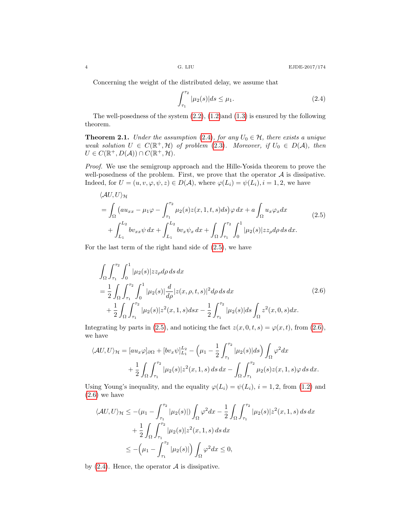Concerning the weight of the distributed delay, we assume that

<span id="page-3-0"></span>
$$
\int_{\tau_1}^{\tau_2} |\mu_2(s)| ds \le \mu_1. \tag{2.4}
$$

The well-posedness of the system  $(2.2)$ ,  $(1.2)$  and  $(1.3)$  is ensured by the following theorem.

**Theorem 2.1.** Under the assumption [\(2.4\)](#page-3-0), for any  $U_0 \in \mathcal{H}$ , there exists a unique weak solution  $U \in C(\mathbb{R}^+, \mathcal{H})$  of problem [\(2.3\)](#page-2-1). Moreover, if  $U_0 \in D(\mathcal{A})$ , then  $U \in C(\mathbb{R}^+, D(\mathcal{A})) \cap C(\mathbb{R}^+, \mathcal{H}).$ 

Proof. We use the semigroup approach and the Hille-Yosida theorem to prove the well-posedness of the problem. First, we prove that the operator  $A$  is dissipative. Indeed, for  $U = (u, v, \varphi, \psi, z) \in D(\mathcal{A})$ , where  $\varphi(L_i) = \psi(L_i), i = 1, 2$ , we have

<span id="page-3-1"></span>
$$
\langle AU, U \rangle_{\mathcal{H}}
$$
  
= 
$$
\int_{\Omega} (au_{xx} - \mu_1 \varphi - \int_{\tau_1}^{\tau_2} \mu_2(s) z(x, 1, t, s) ds) \varphi dx + a \int_{\Omega} u_x \varphi_x dx
$$
  
+ 
$$
\int_{L_1}^{L_2} bv_{xx} \psi dx + \int_{L_1}^{L_2} bv_x \psi_x dx + \int_{\Omega} \int_{\tau_1}^{\tau_2} \int_0^1 |\mu_2(s)| z z_{\rho} d\rho ds dx.
$$
 (2.5)

For the last term of the right hand side of [\(2.5\)](#page-3-1), we have

<span id="page-3-2"></span>
$$
\int_{\Omega} \int_{\tau_1}^{\tau_2} \int_0^1 |\mu_2(s)| z z_{\rho} d\rho \, ds \, dx
$$
\n
$$
= \frac{1}{2} \int_{\Omega} \int_{\tau_1}^{\tau_2} \int_0^1 |\mu_2(s)| \frac{d}{d\rho} |z(x, \rho, t, s)|^2 d\rho \, ds \, dx
$$
\n
$$
+ \frac{1}{2} \int_{\Omega} \int_{\tau_1}^{\tau_2} |\mu_2(s)| z^2(x, 1, s) ds x - \frac{1}{2} \int_{\tau_1}^{\tau_2} |\mu_2(s)| ds \int_{\Omega} z^2(x, 0, s) dx.
$$
\n(2.6)

Integrating by parts in [\(2.5\)](#page-3-1), and noticing the fact  $z(x, 0, t, s) = \varphi(x, t)$ , from [\(2.6\)](#page-3-2), we have

$$
\langle AU, U \rangle_{\mathcal{H}} = [au_x \varphi]_{\partial \Omega} + [bv_x \psi]_{L_1}^{L_2} - \left(\mu_1 - \frac{1}{2} \int_{\tau_1}^{\tau_2} |\mu_2(s)| ds\right) \int_{\Omega} \varphi^2 dx + \frac{1}{2} \int_{\Omega} \int_{\tau_1}^{\tau_2} |\mu_2(s)| z^2(x, 1, s) ds dx - \int_{\Omega} \int_{\tau_1}^{\tau_2} \mu_2(s) z(x, 1, s) \varphi ds dx.
$$

Using Young's inequality, and the equality  $\varphi(L_i) = \psi(L_i)$ ,  $i = 1, 2$ , from [\(1.2\)](#page-0-2) and  $(2.6)$  we have

$$
\langle AU, U \rangle_{\mathcal{H}} \le -(\mu_1 - \int_{\tau_1}^{\tau_2} |\mu_2(s)|) \int_{\Omega} \varphi^2 dx - \frac{1}{2} \int_{\Omega} \int_{\tau_1}^{\tau_2} |\mu_2(s)| z^2(x, 1, s) ds dx + \frac{1}{2} \int_{\Omega} \int_{\tau_1}^{\tau_2} |\mu_2(s)| z^2(x, 1, s) ds dx \le -(\mu_1 - \int_{\tau_1}^{\tau_2} |\mu_2(s)|) \int_{\Omega} \varphi^2 dx \le 0,
$$

by  $(2.4)$ . Hence, the operator  $\mathcal A$  is dissipative.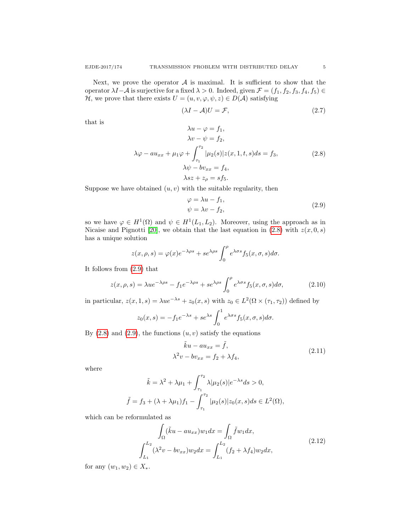Next, we prove the operator  $A$  is maximal. It is sufficient to show that the operator  $\lambda I-\mathcal{A}$  is surjective for a fixed  $\lambda > 0$ . Indeed, given  $\mathcal{F} = (f_1, f_2, f_3, f_4, f_5) \in$ 

<span id="page-4-4"></span>
$$
(\lambda I - \mathcal{A})U = \mathcal{F},\tag{2.7}
$$

that is

<span id="page-4-0"></span>
$$
\lambda u - \varphi = f_1,
$$
  
\n
$$
\lambda v - \psi = f_2,
$$
  
\n
$$
\lambda \varphi - au_{xx} + \mu_1 \varphi + \int_{\tau_1}^{\tau_2} |\mu_2(s)| z(x, 1, t, s) ds = f_3,
$$
  
\n
$$
\lambda \psi - bv_{xx} = f_4,
$$
  
\n
$$
\lambda sz + z_\rho = sf_5.
$$
\n(2.8)

Suppose we have obtained  $(u, v)$  with the suitable regularity, then

H, we prove that there exists  $U = (u, v, \varphi, \psi, z) \in D(\mathcal{A})$  satisfying

<span id="page-4-1"></span>
$$
\varphi = \lambda u - f_1, \n\psi = \lambda v - f_2,
$$
\n(2.9)

so we have  $\varphi \in H^1(\Omega)$  and  $\psi \in H^1(L_1, L_2)$ . Moreover, using the approach as in Nicaise and Pignotti [\[20\]](#page-12-2), we obtain that the last equation in [\(2.8\)](#page-4-0) with  $z(x, 0, s)$ has a unique solution

$$
z(x, \rho, s) = \varphi(x)e^{-\lambda \rho s} + se^{\lambda \rho s} \int_0^{\rho} e^{\lambda \sigma s} f_5(x, \sigma, s) d\sigma.
$$

It follows from [\(2.9\)](#page-4-1) that

$$
z(x,\rho,s) = \lambda u e^{-\lambda \rho s} - f_1 e^{-\lambda \rho s} + s e^{\lambda \rho s} \int_0^{\rho} e^{\lambda \sigma s} f_5(x,\sigma,s) d\sigma,
$$
 (2.10)

in particular,  $z(x,1,s) = \lambda u e^{-\lambda s} + z_0(x,s)$  with  $z_0 \in L^2(\Omega \times (\tau_1, \tau_2))$  defined by

$$
z_0(x,s) = -f_1 e^{-\lambda s} + s e^{\lambda s} \int_0^1 e^{\lambda \sigma s} f_5(x,\sigma,s) d\sigma.
$$

By  $(2.8)$  and  $(2.9)$ , the functions  $(u, v)$  satisfy the equations

<span id="page-4-3"></span>
$$
\tilde{k}u - au_{xx} = \tilde{f},
$$
\n
$$
\lambda^2 v - bv_{xx} = f_2 + \lambda f_4,
$$
\n(2.11)

where

$$
\tilde{k} = \lambda^2 + \lambda \mu_1 + \int_{\tau_1}^{\tau_2} \lambda |\mu_2(s)| e^{-\lambda s} ds > 0,
$$
  

$$
\tilde{f} = f_3 + (\lambda + \lambda \mu_1) f_1 - \int_{\tau_1}^{\tau_2} |\mu_2(s)| z_0(x, s) ds \in L^2(\Omega),
$$

which can be reformulated as

<span id="page-4-2"></span>
$$
\int_{\Omega} (\tilde{k}u - au_{xx})w_1 dx = \int_{\Omega} \tilde{f}w_1 dx,
$$
\n
$$
\int_{L_1}^{L_2} (\lambda^2 v - bv_{xx})w_2 dx = \int_{L_1}^{L_2} (f_2 + \lambda f_4)w_2 dx,
$$
\n(2.12)

for any  $(w_1, w_2) \in X_*$ .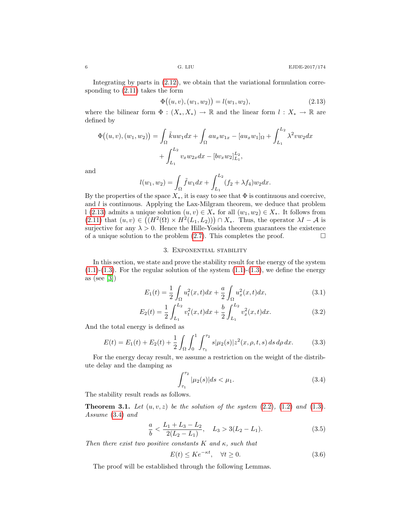Integrating by parts in [\(2.12\)](#page-4-2), we obtain that the variational formulation corresponding to [\(2.11\)](#page-4-3) takes the form

<span id="page-5-0"></span>
$$
\Phi((u, v), (w_1, w_2)) = l(w_1, w_2), \tag{2.13}
$$

where the bilinear form  $\Phi: (X_*, X_*) \to \mathbb{R}$  and the linear form  $l: X_* \to \mathbb{R}$  are defined by

$$
\Phi((u, v), (w_1, w_2)) = \int_{\Omega} \tilde{k}u w_1 dx + \int_{\Omega} a u_x w_{1x} - [a u_x w_1]_{\Omega} + \int_{L_1}^{L_2} \lambda^2 v w_2 dx + \int_{L_1}^{L_2} v_x w_{2x} dx - [b v_x w_2]_{L_1}^{L_2},
$$

and

$$
l(w_1, w_2) = \int_{\Omega} \tilde{f}w_1 dx + \int_{L_1}^{L_2} (f_2 + \lambda f_4) w_2 dx.
$$

By the properties of the space  $X_*$ , it is easy to see that  $\Phi$  is continuous and coercive, and  $l$  is continuous. Applying the Lax-Milgram theorem, we deduce that problem l [\(2.13\)](#page-5-0) admits a unique solution  $(u, v) \in X_*$  for all  $(w_1, w_2) \in X_*$ . It follows from  $(2.11)$  that  $(u, v) \in ((H^2(\Omega) \times H^2(L_1, L_2))) \cap X_*$ . Thus, the operator  $\lambda I - A$  is surjective for any  $\lambda > 0$ . Hence the Hille-Yosida theorem guarantees the existence of a unique solution to the problem  $(2.7)$ . This completes the proof.  $\Box$ 

## <span id="page-5-3"></span>3. Exponential stability

In this section, we state and prove the stability result for the energy of the system  $(1.1)-(1.3)$  $(1.1)-(1.3)$  $(1.1)-(1.3)$ . For the regular solution of the system  $(1.1)-(1.3)$ , we define the energy as (see [\[3\]](#page-11-13))

$$
E_1(t) = \frac{1}{2} \int_{\Omega} u_t^2(x, t) dx + \frac{a}{2} \int_{\Omega} u_x^2(x, t) dx,
$$
\n(3.1)

$$
E_2(t) = \frac{1}{2} \int_{L_1}^{L_2} v_t^2(x, t) dx + \frac{b}{2} \int_{L_1}^{L_2} v_x^2(x, t) dx.
$$
 (3.2)

And the total energy is defined as

<span id="page-5-2"></span>
$$
E(t) = E_1(t) + E_2(t) + \frac{1}{2} \int_{\Omega} \int_0^1 \int_{\tau_1}^{\tau_2} s |\mu_2(s)| z^2(x, \rho, t, s) ds d\rho dx.
$$
 (3.3)

For the energy decay result, we assume a restriction on the weight of the distribute delay and the damping as

<span id="page-5-1"></span>
$$
\int_{\tau_1}^{\tau_2} |\mu_2(s)| ds < \mu_1.
$$
 (3.4)

The stability result reads as follows.

<span id="page-5-4"></span>**Theorem 3.1.** Let  $(u, v, z)$  be the solution of the system  $(2.2)$ ,  $(1.2)$  and  $(1.3)$ . Assume [\(3.4\)](#page-5-1) and

<span id="page-5-5"></span>
$$
\frac{a}{b} < \frac{L_1 + L_3 - L_2}{2(L_2 - L_1)}, \quad L_3 > 3(L_2 - L_1). \tag{3.5}
$$

Then there exist two positive constants  $K$  and  $\kappa$ , such that

J

<span id="page-5-6"></span>
$$
E(t) \le Ke^{-\kappa t}, \quad \forall t \ge 0. \tag{3.6}
$$

The proof will be established through the following Lemmas.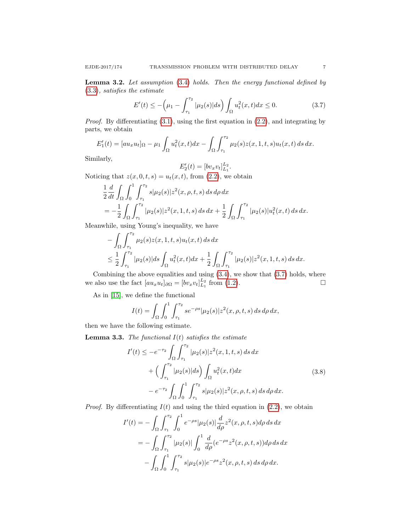Lemma 3.2. Let assumption [\(3.4\)](#page-5-1) holds. Then the energy functional defined by [\(3.3\)](#page-5-2), satisfies the estimate

<span id="page-6-0"></span>
$$
E'(t) \le -\left(\mu_1 - \int_{\tau_1}^{\tau_2} |\mu_2(s)| ds\right) \int_{\Omega} u_t^2(x, t) dx \le 0.
$$
 (3.7)

Proof. By differentiating  $(3.1)$ , using the first equation in  $(2.2)$ , and integrating by parts, we obtain

$$
E'_1(t) = [au_x u_t]_{\Omega} - \mu_1 \int_{\Omega} u_t^2(x, t) dx - \int_{\Omega} \int_{\tau_1}^{\tau_2} \mu_2(s) z(x, 1, t, s) u_t(x, t) ds dx.
$$

Similarly,

$$
E_2'(t) = [bv_x v_t]_{L_1}^{L_2}.
$$

Noticing that  $z(x, 0, t, s) = u_t(x, t)$ , from [\(2.2\)](#page-2-0), we obtain

$$
\frac{1}{2} \frac{d}{dt} \int_{\Omega} \int_{0}^{1} \int_{\tau_1}^{\tau_2} s |\mu_2(s)| z^2(x, \rho, t, s) ds d\rho dx \n= -\frac{1}{2} \int_{\Omega} \int_{\tau_1}^{\tau_2} |\mu_2(s)| z^2(x, 1, t, s) ds dx + \frac{1}{2} \int_{\Omega} \int_{\tau_1}^{\tau_2} |\mu_2(s)| u_t^2(x, t) ds dx.
$$

Meanwhile, using Young's inequality, we have

$$
- \int_{\Omega} \int_{\tau_1}^{\tau_2} \mu_2(s) z(x, 1, t, s) u_t(x, t) ds dx
$$
  
\n
$$
\leq \frac{1}{2} \int_{\tau_1}^{\tau_2} |\mu_2(s)| ds \int_{\Omega} u_t^2(x, t) dx + \frac{1}{2} \int_{\Omega} \int_{\tau_1}^{\tau_2} |\mu_2(s)| z^2(x, 1, t, s) ds dx.
$$

Combining the above equalities and using  $(3.4)$ , we show that  $(3.7)$  holds, where we also use the fact  $[au_xu_t]_{\partial\Omega} = [bv_xv_t]_{L_1}^{L_2}$  from [\(1.2\)](#page-0-2).

As in [\[15\]](#page-11-12), we define the functional

$$
I(t) = \int_{\Omega} \int_0^1 \int_{\tau_1}^{\tau_2} s e^{-\rho s} |\mu_2(s)| z^2(x, \rho, t, s) ds d\rho dx,
$$

then we have the following estimate.

<span id="page-6-1"></span>**Lemma 3.3.** The functional  $I(t)$  satisfies the estimate

$$
I'(t) \le -e^{-\tau_2} \int_{\Omega} \int_{\tau_1}^{\tau_2} |\mu_2(s)| z^2(x, 1, t, s) ds dx + \Big( \int_{\tau_1}^{\tau_2} |\mu_2(s)| ds \Big) \int_{\Omega} u_t^2(x, t) dx - e^{-\tau_2} \int_{\Omega} \int_0^1 \int_{\tau_1}^{\tau_2} s |\mu_2(s)| z^2(x, \rho, t, s) ds d\rho dx.
$$
 (3.8)

*Proof.* By differentiating  $I(t)$  and using the third equation in [\(2.2\)](#page-2-0), we obtain

$$
I'(t) = -\int_{\Omega} \int_{\tau_1}^{\tau_2} \int_0^1 e^{-\rho s} |\mu_2(s)| \frac{d}{d\rho} z^2(x, \rho, t, s) d\rho ds dx
$$
  
= 
$$
- \int_{\Omega} \int_{\tau_1}^{\tau_2} |\mu_2(s)| \int_0^1 \frac{d}{d\rho} (e^{-\rho s} z^2(x, \rho, t, s)) d\rho ds dx
$$
  

$$
- \int_{\Omega} \int_0^1 \int_{\tau_1}^{\tau_2} s |\mu_2(s)| e^{-\rho s} z^2(x, \rho, t, s) ds d\rho dx.
$$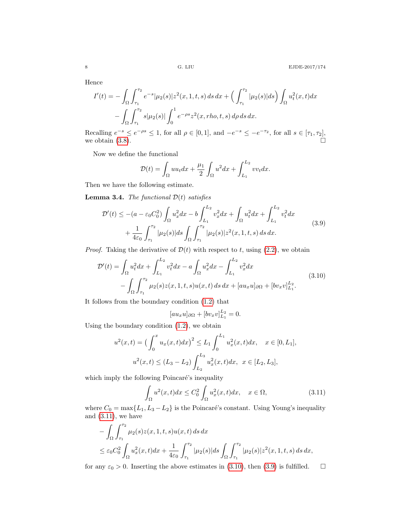Hence

$$
I'(t) = -\int_{\Omega} \int_{\tau_1}^{\tau_2} e^{-s} |\mu_2(s)| z^2(x, 1, t, s) ds dx + \left( \int_{\tau_1}^{\tau_2} |\mu_2(s)| ds \right) \int_{\Omega} u_t^2(x, t) dx
$$

$$
- \int_{\Omega} \int_{\tau_1}^{\tau_2} s |\mu_2(s)| \int_0^1 e^{-\rho s} z^2(x, rho, t, s) d\rho ds dx.
$$

Recalling  $e^{-s} \leq e^{-\rho s} \leq 1$ , for all  $\rho \in [0,1]$ , and  $-e^{-s} \leq -e^{-\tau_2}$ , for all  $s \in [\tau_1, \tau_2]$ , we obtain  $(3.8)$ .

Now we define the functional

$$
\mathcal{D}(t) = \int_{\Omega} u u_t dx + \frac{\mu_1}{2} \int_{\Omega} u^2 dx + \int_{L_1}^{L_2} v v_t dx.
$$

Then we have the following estimate.

**Lemma 3.4.** The functional  $\mathcal{D}(t)$  satisfies

<span id="page-7-2"></span>
$$
\mathcal{D}'(t) \leq -(a - \varepsilon_0 C_0^2) \int_{\Omega} u_x^2 dx - b \int_{L_1}^{L_2} v_x^2 dx + \int_{\Omega} u_t^2 dx + \int_{L_1}^{L_2} v_t^2 dx
$$
  
+ 
$$
\frac{1}{4\varepsilon_0} \int_{\tau_1}^{\tau_2} |\mu_2(s)| ds \int_{\Omega} \int_{\tau_1}^{\tau_2} |\mu_2(s)| z^2(x, 1, t, s) ds dx.
$$
 (3.9)

*Proof.* Taking the derivative of  $\mathcal{D}(t)$  with respect to t, using [\(2.2\)](#page-2-0), we obtain

<span id="page-7-1"></span>
$$
\mathcal{D}'(t) = \int_{\Omega} u_t^2 dx + \int_{L_1}^{L_2} v_t^2 dx - a \int_{\Omega} u_x^2 dx - \int_{L_1}^{L_2} v_x^2 dx
$$
  
 
$$
- \int_{\Omega} \int_{\tau_1}^{\tau_2} \mu_2(s) z(x, 1, t, s) u(x, t) ds dx + [au_x u]_{\partial \Omega} + [bv_x v]_{L_1}^{L_2}.
$$
 (3.10)

It follows from the boundary condition [\(1.2\)](#page-0-2) that

$$
[au_xu]_{\partial\Omega} + [bv_xv]_{L_1}^{L_2} = 0.
$$

Using the boundary condition [\(1.2\)](#page-0-2), we obtain

$$
u^{2}(x,t) = \left(\int_{0}^{x} u_{x}(x,t)dx\right)^{2} \le L_{1} \int_{0}^{L_{1}} u_{x}^{2}(x,t)dx, \quad x \in [0, L_{1}],
$$
  

$$
u^{2}(x,t) \le (L_{3} - L_{2}) \int_{L_{2}}^{L_{3}} u_{x}^{2}(x,t)dx, \quad x \in [L_{2}, L_{3}],
$$

which imply the following Poincaré's inequality

<span id="page-7-0"></span>
$$
\int_{\Omega} u^2(x,t)dx \le C_0^2 \int_{\Omega} u_x^2(x,t)dx, \quad x \in \Omega,
$$
\n(3.11)

where  $C_0 = \max\{L_1, L_3 - L_2\}$  is the Poincaré's constant. Using Young's inequality and  $(3.11)$ , we have

$$
- \int_{\Omega} \int_{\tau_1}^{\tau_2} \mu_2(s) z(x, 1, t, s) u(x, t) ds dx
$$
  
\n
$$
\leq \varepsilon_0 C_0^2 \int_{\Omega} u_x^2(x, t) dx + \frac{1}{4\varepsilon_0} \int_{\tau_1}^{\tau_2} |\mu_2(s)| ds \int_{\Omega} \int_{\tau_1}^{\tau_2} |\mu_2(s)| z^2(x, 1, t, s) ds dx,
$$

for any  $\varepsilon_0 > 0$ . Inserting the above estimates in [\(3.10\)](#page-7-1), then [\(3.9\)](#page-7-2) is fulfilled.  $\square$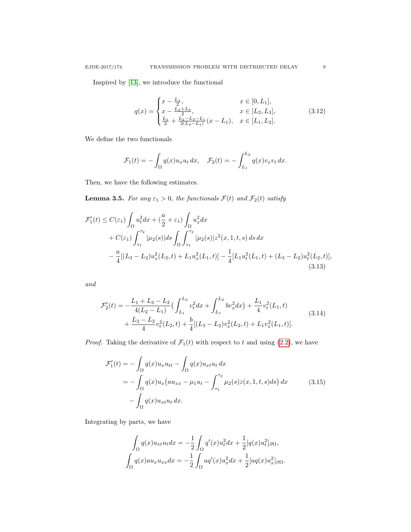Inspired by [\[13\]](#page-11-3), we introduce the functional

<span id="page-8-1"></span>
$$
q(x) = \begin{cases} x - \frac{L_1}{2}, & x \in [0, L_1], \\ x - \frac{L_2 + L_3}{2}, & x \in [L_2, L_3], \\ \frac{L_1}{2} + \frac{L_2 - L_3 - L_1}{2(L_2 - L_1)} (x - L_1), & x \in [L_1, L_2]. \end{cases}
$$
(3.12)

We define the two functionals

$$
\mathcal{F}_1(t) = -\int_{\Omega} q(x)u_x u_t dx, \quad \mathcal{F}_2(t) = -\int_{L_1}^{L_2} q(x)v_x v_t dx.
$$

Then, we have the following estimates.

**Lemma 3.5.** For any  $\varepsilon_1 > 0$ , the functionals  $\mathcal{F}(t)$  and  $\mathcal{F}_2(t)$  satisfy

<span id="page-8-2"></span>
$$
\mathcal{F}'_1(t) \le C(\varepsilon_1) \int_{\Omega} u_t^2 dx + (\frac{a}{2} + \varepsilon_1) \int_{\Omega} u_x^2 dx \n+ C(\varepsilon_1) \int_{\tau_1}^{\tau_2} |\mu_2(s)| ds \int_{\Omega} \int_{\tau_1}^{\tau_2} |\mu_2(s)| z^2(x, 1, t, s) ds dx \n- \frac{a}{4} [(L_3 - L_2) u_x^2(L_2, t) + L_1 u_x^2(L_1, t)] - \frac{1}{4} [L_1 u_t^2(L_1, t) + (L_3 - L_2) u_t^2(L_2, t)],
$$
\n(3.13)

and

$$
\mathcal{F}'_2(t) = -\frac{L_1 + L_3 - L_2}{4(L_2 - L_1)} \left( \int_{L_1}^{L_2} v_t^2 dx + \int_{L_1}^{L_2} bv_x^2 dx \right) + \frac{L_1}{4} v_t^2(L_1, t) + \frac{L_3 - L_2}{4} v_t^2(L_2, t) + \frac{b}{4} [(L_3 - L_2) v_x^2(L_2, t) + L_1 v_x^2(L_1, t)].
$$
\n(3.14)

*Proof.* Taking the derivative of  $\mathcal{F}_1(t)$  with respect to t and using [\(2.2\)](#page-2-0), we have

<span id="page-8-0"></span>
$$
\mathcal{F}'_1(t) = -\int_{\Omega} q(x)u_x u_{tt} - \int_{\Omega} q(x)u_{xt} u_t dx
$$
  
= 
$$
-\int_{\Omega} q(x)u_x (au_{xx} - \mu_1 u_t - \int_{\tau_1}^{\tau_2} \mu_2(s)z(x, 1, t, s) ds) dx
$$
 (3.15)  

$$
-\int_{\Omega} q(x)u_{xt} u_t dx.
$$

Integrating by parts, we have

$$
\int_{\Omega} q(x)u_{xt}u_t dx = -\frac{1}{2} \int_{\Omega} q'(x)u_t^2 dx + \frac{1}{2} [q(x)u_t^2]_{\partial\Omega},
$$
  

$$
\int_{\Omega} q(x)au_xu_{xx}dx = -\frac{1}{2} \int_{\Omega} aq'(x)u_x^2 dx + \frac{1}{2} [aq(x)u_x^2]_{\partial\Omega}.
$$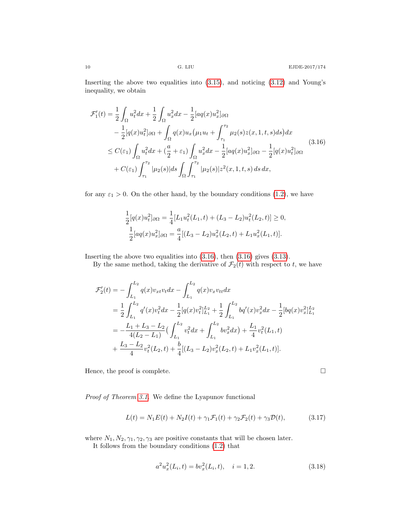Inserting the above two equalities into  $(3.15)$ , and noticing  $(3.12)$  and Young's inequality, we obtain

<span id="page-9-0"></span>
$$
\mathcal{F}'_1(t) = \frac{1}{2} \int_{\Omega} u_t^2 dx + \frac{1}{2} \int_{\Omega} u_x^2 dx - \frac{1}{2} [aq(x)u_x^2]_{\partial\Omega} \n- \frac{1}{2} [q(x)u_t^2]_{\partial\Omega} + \int_{\Omega} q(x)u_x (\mu_1 u_t + \int_{\tau_1}^{\tau_2} \mu_2(s)z(x, 1, t, s) ds) dx \n\leq C(\varepsilon_1) \int_{\Omega} u_t^2 dx + (\frac{a}{2} + \varepsilon_1) \int_{\Omega} u_x^2 dx - \frac{1}{2} [aq(x)u_x^2]_{\partial\Omega} - \frac{1}{2} [q(x)u_t^2]_{\partial\Omega} \n+ C(\varepsilon_1) \int_{\tau_1}^{\tau_2} |\mu_2(s)| ds \int_{\Omega} \int_{\tau_1}^{\tau_2} |\mu_2(s)| z^2(x, 1, t, s) ds dx,
$$
\n(3.16)

for any  $\varepsilon_1 > 0$ . On the other hand, by the boundary conditions [\(1.2\)](#page-0-2), we have

$$
\frac{1}{2}[q(x)u_t^2]_{\partial\Omega} = \frac{1}{4}[L_1u_t^2(L_1,t) + (L_3 - L_2)u_t^2(L_2,t)] \ge 0,
$$
  

$$
\frac{1}{2}[aq(x)u_x^2]_{\partial\Omega} = \frac{a}{4}[(L_3 - L_2)u_x^2(L_2,t) + L_1u_x^2(L_1,t)].
$$

Inserting the above two equalities into  $(3.16)$ , then  $(3.16)$  gives  $(3.13)$ .

By the same method, taking the derivative of  $\mathcal{F}_2(t)$  with respect to t, we have

$$
\mathcal{F}'_2(t) = -\int_{L_1}^{L_2} q(x)v_{xt}v_t dx - \int_{L_1}^{L_2} q(x)v_xv_{tt} dx
$$
  
\n
$$
= \frac{1}{2} \int_{L_1}^{L_2} q'(x)v_t^2 dx - \frac{1}{2} [q(x)v_t^2]_{L_1}^{L_2} + \frac{1}{2} \int_{L_1}^{L_2} bq'(x)v_x^2 dx - \frac{1}{2} [bq(x)v_x^2]_{L_1}^{L_2}
$$
  
\n
$$
= -\frac{L_1 + L_3 - L_2}{4(L_2 - L_1)} \Big( \int_{L_1}^{L_2} v_t^2 dx + \int_{L_1}^{L_2} bv_x^2 dx \Big) + \frac{L_1}{4} v_t^2(L_1, t)
$$
  
\n
$$
+ \frac{L_3 - L_2}{4} v_t^2(L_2, t) + \frac{b}{4} [(L_3 - L_2)v_x^2(L_2, t) + L_1 v_x^2(L_1, t)].
$$

Hence, the proof is complete.  $\hfill \square$ 

Proof of Theorem [3.1.](#page-5-4) We define the Lyapunov functional

<span id="page-9-1"></span>
$$
L(t) = N_1 E(t) + N_2 I(t) + \gamma_1 \mathcal{F}_1(t) + \gamma_2 \mathcal{F}_2(t) + \gamma_3 \mathcal{D}(t),
$$
\n(3.17)

where  $N_1, N_2, \gamma_1, \gamma_2, \gamma_3$  are positive constants that will be chosen later.

It follows from the boundary conditions [\(1.2\)](#page-0-2) that

<span id="page-9-2"></span>
$$
a^2 u_x^2(L_i, t) = b v_x^2(L_i, t), \quad i = 1, 2.
$$
\n(3.18)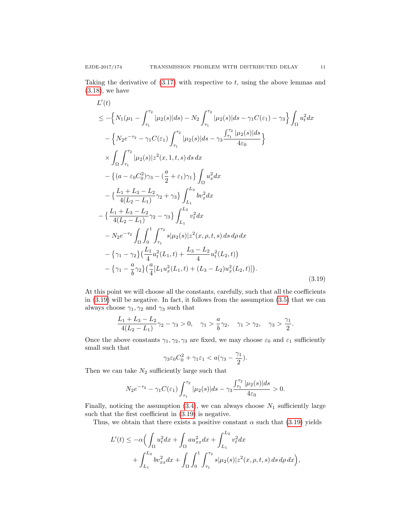Taking the derivative of  $(3.17)$  with respective to t, using the above lemmas and [\(3.18\)](#page-9-2), we have

<span id="page-10-0"></span>
$$
L'(t)
$$
  
\n
$$
\leq -\left\{ N_1(\mu_1 - \int_{\tau_1}^{\tau_2} |\mu_2(s)|ds) - N_2 \int_{\tau_1}^{\tau_2} |\mu_2(s)|ds - \gamma_1 C(\varepsilon_1) - \gamma_3 \right\} \int_{\Omega} u_t^2 dx
$$
  
\n
$$
- \left\{ N_2 e^{-\tau_2} - \gamma_1 C(\varepsilon_1) \int_{\tau_1}^{\tau_2} |\mu_2(s)|ds - \gamma_3 \frac{\int_{\tau_1}^{\tau_2} |\mu_2(s)|ds}{4\varepsilon} \right\}
$$
  
\n
$$
\times \int_{\Omega} \int_{\tau_1}^{\tau_2} |\mu_2(s)|z^2(x, 1, t, s) ds dx
$$
  
\n
$$
- \left\{ (a - \varepsilon_0 C_0^2) \gamma_3 - (\frac{a}{2} + \varepsilon_1) \gamma_1 \right\} \int_{\Omega} u_x^2 dx
$$
  
\n
$$
- \left\{ \frac{L_1 + L_3 - L_2}{4(L_2 - L_1)} \gamma_2 + \gamma_3 \right\} \int_{L_1}^{L_2} bv_x^2 dx
$$
  
\n
$$
- \left\{ \frac{L_1 + L_3 - L_2}{4(L_2 - L_1)} \gamma_2 - \gamma_3 \right\} \int_{L_1}^{L_2} v_t^2 dx
$$
  
\n
$$
- N_2 e^{-\tau_2} \int_{\Omega} \int_0^1 \int_{\tau_1}^{\tau_2} s |\mu_2(s)| z^2(x, \rho, t, s) ds d\rho dx
$$
  
\n
$$
- \left\{ \gamma_1 - \gamma_2 \right\} \left( \frac{L_1}{4} u_t^2(L_1, t) + \frac{L_3 - L_2}{4} u_t^2(L_2, t) \right)
$$
  
\n
$$
- \left\{ \gamma_1 - \frac{a}{b} \gamma_2 \right\} \left( \frac{a}{4} [L_1 u_x^2(L_1, t) + (L_3 - L_2) u_x^2(L_2, t) ] \right).
$$
  
\n(3.19)

At this point we will choose all the constants, carefully, such that all the coefficients in [\(3.19\)](#page-10-0) will be negative. In fact, it follows from the assumption [\(3.5\)](#page-5-5) that we can always choose  $\gamma_1, \gamma_2$  and  $\gamma_3$  such that

$$
\frac{L_1 + L_3 - L_2}{4(L_2 - L_1)} \gamma_2 - \gamma_3 > 0, \quad \gamma_1 > \frac{a}{b} \gamma_2, \quad \gamma_1 > \gamma_2, \quad \gamma_3 > \frac{\gamma_1}{2}.
$$

Once the above constants  $\gamma_1, \gamma_2, \gamma_3$  are fixed, we may choose  $\varepsilon_0$  and  $\varepsilon_1$  sufficiently small such that

$$
\gamma_3 \varepsilon_0 C_0^2 + \gamma_1 \varepsilon_1 < a(\gamma_3 - \frac{\gamma_1}{2}).
$$

Then we can take  $N_2$  sufficiently large such that

$$
N_2e^{-\tau_2} - \gamma_1 C(\varepsilon_1) \int_{\tau_1}^{\tau_2} |\mu_2(s)| ds - \gamma_3 \frac{\int_{\tau_1}^{\tau_2} |\mu_2(s)| ds}{4\varepsilon_0} > 0.
$$

Finally, noticing the assumption  $(3.4)$ , we can always choose  $N_1$  sufficiently large such that the first coefficient in [\(3.19\)](#page-10-0) is negative.

Thus, we obtain that there exists a positive constant  $\alpha$  such that [\(3.19\)](#page-10-0) yields

$$
L'(t) \le -\alpha \Big( \int_{\Omega} u_t^2 dx + \int_{\Omega} a u_{xx}^2 dx + \int_{L_1}^{L_2} v_t^2 dx + \int_{L_1}^{L_2} b v_{xx}^2 dx + \int_{\Omega} \int_0^1 \int_{\tau_1}^{\tau_2} s |\mu_2(s)| z^2(x, \rho, t, s) ds d\rho dx \Big),
$$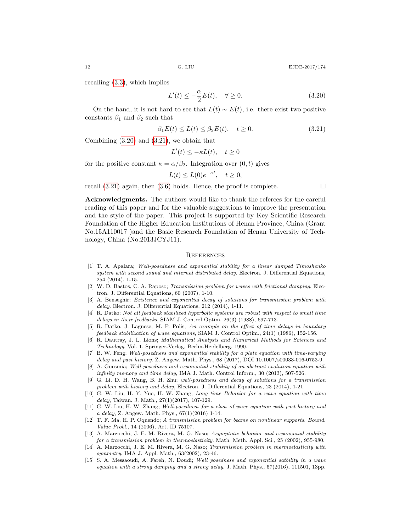recalling [\(3.3\)](#page-5-2), which implies

<span id="page-11-15"></span>
$$
L'(t) \le -\frac{\alpha}{2}E(t), \quad \forall \ge 0.
$$
\n(3.20)

On the hand, it is not hard to see that  $L(t) \sim E(t)$ , i.e. there exist two positive constants  $\beta_1$  and  $\beta_2$  such that

<span id="page-11-16"></span>
$$
\beta_1 E(t) \le L(t) \le \beta_2 E(t), \quad t \ge 0. \tag{3.21}
$$

Combining [\(3.20\)](#page-11-15) and [\(3.21\)](#page-11-16), we obtain that

$$
L'(t) \le -\kappa L(t), \quad t \ge 0
$$

for the positive constant  $\kappa = \alpha/\beta_2$ . Integration over  $(0, t)$  gives

$$
L(t) \le L(0)e^{-\kappa t}, \quad t \ge 0,
$$

recall  $(3.21)$  again, then  $(3.6)$  holds. Hence, the proof is complete.

Acknowledgments. The authors would like to thank the referees for the careful reading of this paper and for the valuable suggestions to improve the presentation and the style of the paper. This project is supported by Key Scientific Research Foundation of the Higher Education Institutions of Henan Province, China (Grant No.15A110017 )and the Basic Research Foundation of Henan University of Technology, China (No.2013JCYJ11).

#### **REFERENCES**

- <span id="page-11-11"></span>[1] T. A. Apalara; Well-posedness and exponential stability for a linear damped Timoshenko system with second sound and internal distributed delay. Electron. J. Differential Equations, 254 (2014), 1-15.
- <span id="page-11-0"></span>[2] W. D. Bastos, C. A. Raposo; Transmission problem for waves with frictional damping. Electron. J. Differential Equations, 60 (2007), 1-10.
- <span id="page-11-13"></span>[3] A. Benseghir; Existence and exponential decay of solutions for transmission problem with delay. Electron. J. Differential Equations, 212 (2014), 1-11.
- <span id="page-11-6"></span>[4] R. Datko; Not all feedback stabilized hyperbolic systems are robust with respect to small time delays in their feedbacks, SIAM J. Control Optim. 26(3) (1988), 697-713.
- <span id="page-11-5"></span>[5] R. Datko, J. Lagnese, M. P. Polis; An example on the effect of time delays in boundary feedback stabilization of wave equations, SIAM J. Control Optim., 24(1) (1986), 152-156.
- <span id="page-11-1"></span>[6] R. Dautray, J. L. Lions; Mathematical Analysis and Numerical Methods for Sciences and Technology. Vol. 1, Springer-Verlag, Berlin-Heidelberg, 1990.
- <span id="page-11-10"></span>[7] B. W. Feng; Well-posedness and exponential stability for a plate equation with time-varying delay and past history. Z. Angew. Math. Phys., 68 (2017), DOI 10.1007/s00033-016-0753-9.
- <span id="page-11-7"></span>[8] A. Guesmia; Well-posedness and exponential stability of an abstract evolution equation with infinity memory and time delay, IMA J. Math. Control Inform., 30 (2013), 507-526.
- <span id="page-11-14"></span>[9] G. Li, D. H. Wang, B. H. Zhu; well-posedness and decay of solutions for a transmission problem with history and delay, Electron. J. Differential Equations, 23 (2014), 1-21.
- <span id="page-11-9"></span>[10] G. W. Liu, H. Y. Yue, H. W. Zhang; Long time Behavior for a wave equation with time delay, Taiwan. J. Math., 27(1)(2017), 107-129.
- <span id="page-11-8"></span>[11] G. W. Liu, H. W. Zhang; Well-posedness for a class of wave equation with past history and a delay, Z. Angew. Math. Phys., 67(1)(2016) 1-14.
- <span id="page-11-2"></span>[12] T. F. Ma, H. P. Oquendo; A transmission problem for beams on nonlinear supports. Bound. Value Probl., 14 (2006), Art. ID 75107.
- <span id="page-11-3"></span>[13] A. Marzocchi, J. E. M. Rivera, M. G. Naso; Asymptotic behavior and exponential stability for a transmission problem in thermoelasticity. Math. Meth. Appl. Sci., 25 (2002), 955-980.
- <span id="page-11-4"></span>[14] A. Marzocchi, J. E. M. Rivera, M. G. Naso; Transmission problem in thermoelasticity with symmetry. IMA J. Appl. Math., 63(2002), 23-46.
- <span id="page-11-12"></span>[15] S. A. Messaoudi, A. Fareh, N. Doudi; Well posedness and exponential satbility in a wave equation with a strong damping and a strong delay. J. Math. Phys., 57(2016), 111501, 13pp.